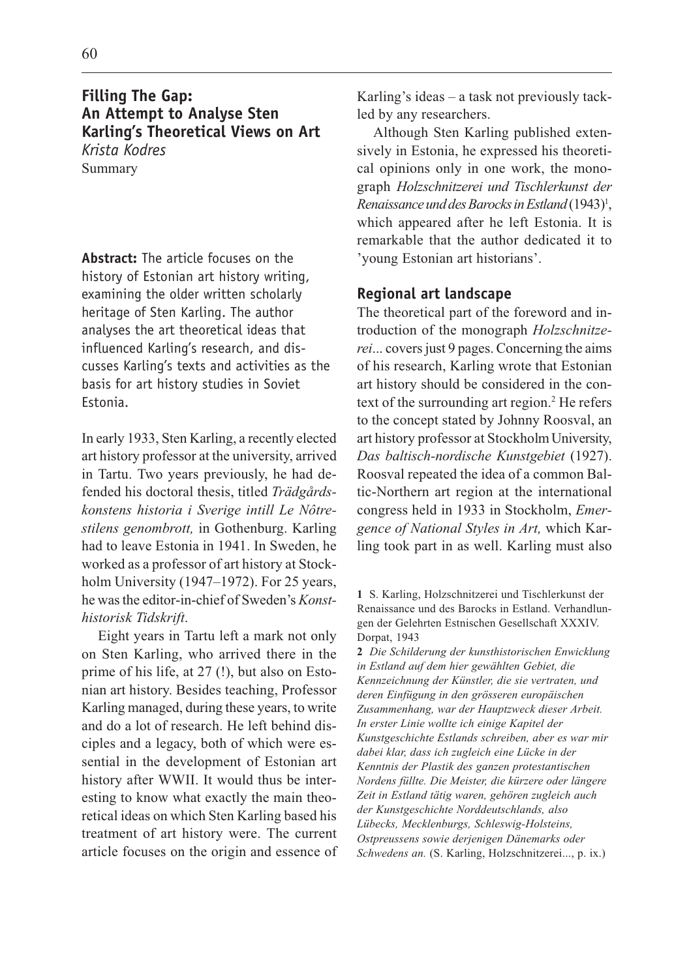# **Filling The Gap: An Attempt to Analyse Sten Karling's Theoretical Views on Art** *Krista Kodres* Summary

**Abstract:** The article focuses on the history of Estonian art history writing, examining the older written scholarly heritage of Sten Karling. The author analyses the art theoretical ideas that influenced Karling's research, and discusses Karling's texts and activities as the basis for art history studies in Soviet Estonia.

In early 1933, Sten Karling, a recently elected art history professor at the university, arrived in Tartu. Two years previously, he had defended his doctoral thesis, titled Trädgårdskonstens historia i Sverige intill Le Nôtrestilens genombrott, in Gothenburg. Karling had to leave Estonia in 1941. In Sweden, he worked as a professor of art history at Stockholm University  $(1947-1972)$ . For 25 years, he was the editor-in-chief of Sweden's Konsthistorisk Tidskrift.

Eight years in Tartu left a mark not only on Sten Karling, who arrived there in the prime of his life, at 27 (!), but also on Estonian art history. Besides teaching, Professor Karling managed, during these years, to write and do a lot of research. He left behind disciples and a legacy, both of which were essential in the development of Estonian art history after WWII. It would thus be interesting to know what exactly the main theoretical ideas on which Sten Karling based his treatment of art history were. The current article focuses on the origin and essence of Karling's ideas  $-$  a task not previously tackled by any researchers.

Although Sten Karling published extensively in Estonia, he expressed his theoretical opinions only in one work, the monograph Holzschnitzerei und Tischlerkunst der Renaissance und des Barocks in Estland  $(1943)^1$ , which appeared after he left Estonia. It is remarkable that the author dedicated it to 'young Estonian art historians'.

## **Regional art landscape**

The theoretical part of the foreword and introduction of the monograph Holzschnitzerei... covers just 9 pages. Concerning the aims of his research, Karling wrote that Estonian art history should be considered in the context of the surrounding art region.<sup>2</sup> He refers to the concept stated by Johnny Roosval, an art history professor at Stockholm University, Das baltisch-nordische Kunstgebiet (1927). Roosval repeated the idea of a common Baltic-Northern art region at the international congress held in 1933 in Stockholm, Emergence of National Styles in Art, which Karling took part in as well. Karling must also

1 S. Karling, Holzschnitzerei und Tischlerkunst der Renaissance und des Barocks in Estland. Verhandlungen der Gelehrten Estnischen Gesellschaft XXXIV. Dorpat, 1943

2 Die Schilderung der kunsthistorischen Enwicklung in Estland auf dem hier gewählten Gebiet, die Kennzeichnung der Künstler, die sie vertraten, und deren Einfügung in den grösseren europäischen Zusammenhang, war der Hauptzweck dieser Arbeit. In erster Linie wollte ich einige Kapitel der Kunstgeschichte Estlands schreiben, aber es war mir dabei klar, dass ich zugleich eine Lücke in der Kenntnis der Plastik des ganzen protestantischen Nordens füllte. Die Meister, die kürzere oder längere Zeit in Estland tätig waren, gehören zugleich auch der Kunstgeschichte Norddeutschlands, also Lübecks, Mecklenburgs, Schleswig-Holsteins, Ostpreussens sowie derjenigen Dänemarks oder Schwedens an. (S. Karling, Holzschnitzerei..., p. ix.)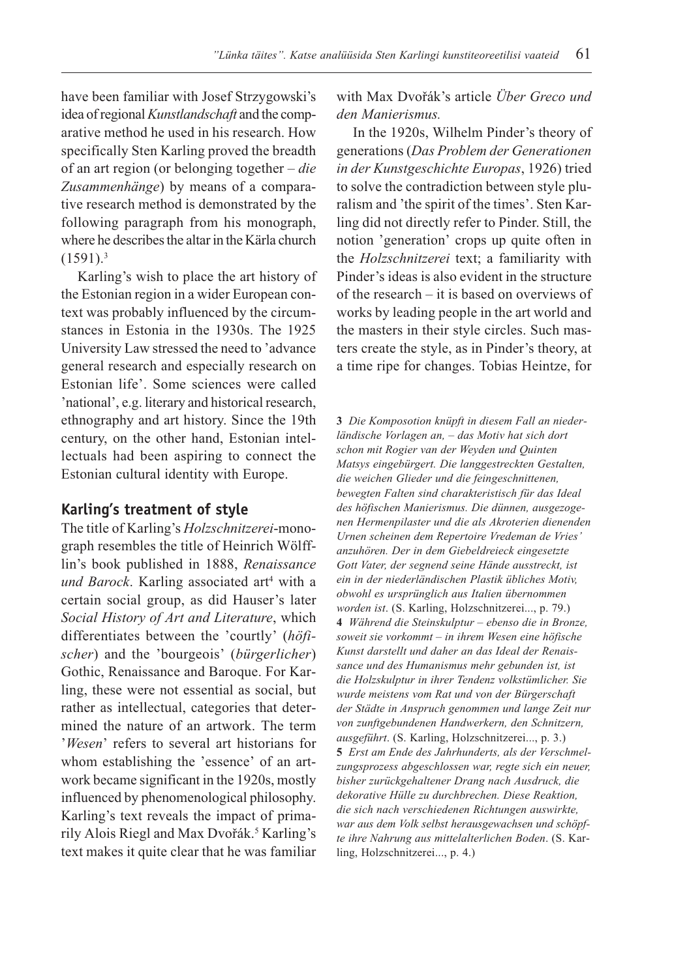have been familiar with Josef Strzygowski's idea of regional Kunstlandschaft and the comparative method he used in his research. How specifically Sten Karling proved the breadth of an art region (or belonging together  $-\text{die}$ Zusammenhänge) by means of a comparative research method is demonstrated by the following paragraph from his monograph, where he describes the altar in the Kärla church  $(1591).<sup>3</sup>$ 

Karling's wish to place the art history of the Estonian region in a wider European context was probably influenced by the circumstances in Estonia in the 1930s. The 1925 University Law stressed the need to 'advance general research and especially research on Estonian life'. Some sciences were called 'national', e.g. literary and historical research, ethnography and art history. Since the 19th century, on the other hand, Estonian intellectuals had been aspiring to connect the Estonian cultural identity with Europe.

#### **Karling's treatment of style**

The title of Karling's Holzschnitzerei-monograph resembles the title of Heinrich Wölfflin's book published in 1888, Renaissance und Barock. Karling associated art<sup>4</sup> with a certain social group, as did Hauser's later Social History of Art and Literature, which differentiates between the 'courtly' ( $h\ddot{o}fi$ scher) and the 'bourgeois' (bürgerlicher) Gothic, Renaissance and Baroque. For Karling, these were not essential as social, but rather as intellectual, categories that determined the nature of an artwork. The term 'Wesen' refers to several art historians for whom establishing the 'essence' of an artwork became significant in the 1920s, mostly influenced by phenomenological philosophy. Karling's text reveals the impact of primarily Alois Riegl and Max Dvořák.<sup>5</sup> Karling's text makes it quite clear that he was familiar

with Max Dvořák's article Über Greco und den Manierismus.

In the 1920s, Wilhelm Pinder's theory of generations (Das Problem der Generationen in der Kunstgeschichte Europas, 1926) tried to solve the contradiction between style pluralism and 'the spirit of the times'. Sten Karling did not directly refer to Pinder. Still, the notion 'generation' crops up quite often in the Holzschnitzerei text; a familiarity with Pinder's ideas is also evident in the structure of the research  $-$  it is based on overviews of works by leading people in the art world and the masters in their style circles. Such masters create the style, as in Pinder's theory, at a time ripe for changes. Tobias Heintze, for

3 Die Komposotion knüpft in diesem Fall an niederländische Vorlagen an, - das Motiv hat sich dort schon mit Rogier van der Weyden und Quinten Matsys eingebürgert. Die langgestreckten Gestalten, die weichen Glieder und die feingeschnittenen, bewegten Falten sind charakteristisch für das Ideal des höfischen Manierismus. Die dünnen, ausgezogenen Hermenpilaster und die als Akroterien dienenden Urnen scheinen dem Repertoire Vredeman de Vries anzuhören. Der in dem Giebeldreieck eingesetzte Gott Vater, der segnend seine Hände ausstreckt, ist ein in der niederländischen Plastik übliches Motiv, obwohl es ursprünglich aus Italien übernommen worden ist. (S. Karling, Holzschnitzerei..., p. 79.) 4 Während die Steinskulptur – ebenso die in Bronze, soweit sie vorkommt - in ihrem Wesen eine höfische Kunst darstellt und daher an das Ideal der Renaissance und des Humanismus mehr gebunden ist, ist die Holzskulptur in ihrer Tendenz volkstümlicher. Sie wurde meistens vom Rat und von der Bürgerschaft der Städte in Anspruch genommen und lange Zeit nur von zunftgebundenen Handwerkern, den Schnitzern, ausgeführt. (S. Karling, Holzschnitzerei..., p. 3.) 5 Erst am Ende des Jahrhunderts, als der Verschmelzungsprozess abgeschlossen war, regte sich ein neuer, bisher zurückgehaltener Drang nach Ausdruck, die dekorative Hülle zu durchbrechen. Diese Reaktion, die sich nach verschiedenen Richtungen auswirkte, war aus dem Volk selbst herausgewachsen und schöpfte ihre Nahrung aus mittelalterlichen Boden. (S. Karling, Holzschnitzerei..., p. 4.)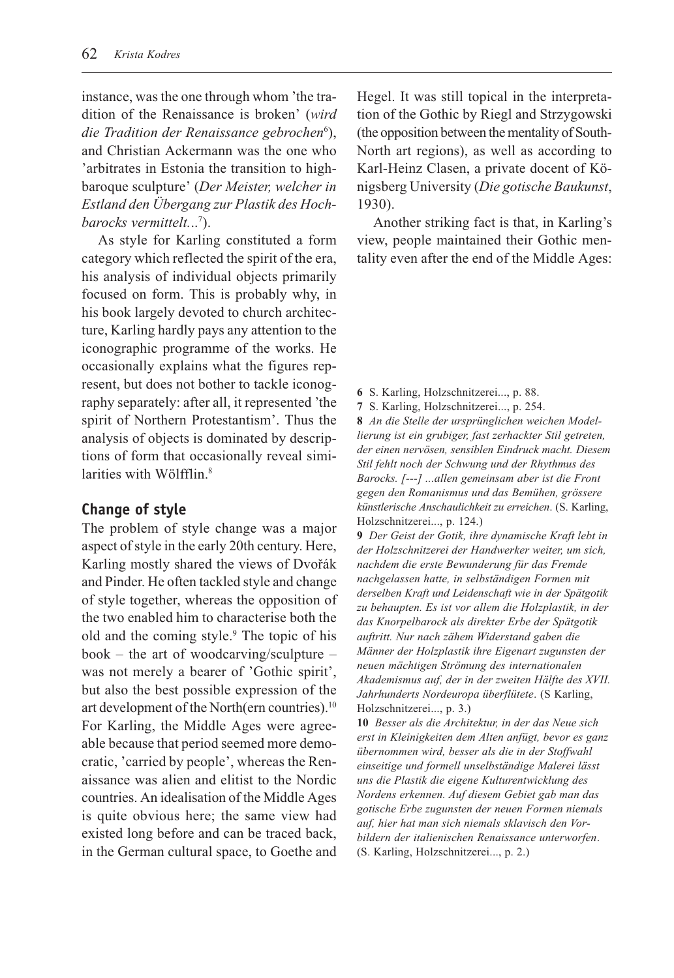instance, was the one through whom 'the tradition of the Renaissance is broken' (wird die Tradition der Renaissance gebrochen<sup>6</sup>), and Christian Ackermann was the one who arbitrates in Estonia the transition to highbaroque sculpture' (Der Meister, welcher in Estland den Übergang zur Plastik des Hochbarocks vermittelt...<sup>7</sup>).

As style for Karling constituted a form category which reflected the spirit of the era, his analysis of individual objects primarily focused on form. This is probably why, in his book largely devoted to church architecture, Karling hardly pays any attention to the iconographic programme of the works. He occasionally explains what the figures represent, but does not bother to tackle iconography separately: after all, it represented 'the spirit of Northern Protestantism'. Thus the analysis of objects is dominated by descriptions of form that occasionally reveal similarities with Wölfflin.<sup>8</sup>

## **Change of style**

The problem of style change was a major aspect of style in the early 20th century. Here, Karling mostly shared the views of Dvořák and Pinder. He often tackled style and change of style together, whereas the opposition of the two enabled him to characterise both the old and the coming style.<sup>9</sup> The topic of his book – the art of woodcarving/sculpture – was not merely a bearer of 'Gothic spirit', but also the best possible expression of the art development of the North(ern countries).10 For Karling, the Middle Ages were agreeable because that period seemed more democratic, 'carried by people', whereas the Renaissance was alien and elitist to the Nordic countries. An idealisation of the Middle Ages is quite obvious here; the same view had existed long before and can be traced back, in the German cultural space, to Goethe and

Hegel. It was still topical in the interpretation of the Gothic by Riegl and Strzygowski (the opposition between the mentality of South-North art regions), as well as according to Karl-Heinz Clasen, a private docent of Königsberg University (Die gotische Baukunst, 1930).

Another striking fact is that, in Karling's view, people maintained their Gothic mentality even after the end of the Middle Ages:

- 6 S. Karling, Holzschnitzerei..., p. 88.
- 7 S. Karling, Holzschnitzerei..., p. 254.

8 An die Stelle der ursprünglichen weichen Modellierung ist ein grubiger, fast zerhackter Stil getreten, der einen nervösen, sensiblen Eindruck macht. Diesem Stil fehlt noch der Schwung und der Rhythmus des Barocks. [---] ...allen gemeinsam aber ist die Front gegen den Romanismus und das Bemühen, grössere künstlerische Anschaulichkeit zu erreichen. (S. Karling, Holzschnitzerei..., p. 124.)

9 Der Geist der Gotik, ihre dynamische Kraft lebt in der Holzschnitzerei der Handwerker weiter, um sich, nachdem die erste Bewunderung für das Fremde nachgelassen hatte, in selbständigen Formen mit derselben Kraft und Leidenschaft wie in der Spätgotik zu behaupten. Es ist vor allem die Holzplastik, in der das Knorpelbarock als direkter Erbe der Spätgotik auftritt. Nur nach zähem Widerstand gaben die Männer der Holzplastik ihre Eigenart zugunsten der neuen mächtigen Strömung des internationalen Akademismus auf, der in der zweiten Hälfte des XVII. Jahrhunderts Nordeuropa überflütete. (S Karling, Holzschnitzerei..., p. 3.)

10 Besser als die Architektur, in der das Neue sich erst in Kleinigkeiten dem Alten anfügt, bevor es ganz übernommen wird, besser als die in der Stoffwahl einseitige und formell unselbständige Malerei lässt uns die Plastik die eigene Kulturentwicklung des Nordens erkennen. Auf diesem Gebiet gab man das gotische Erbe zugunsten der neuen Formen niemals auf, hier hat man sich niemals sklavisch den Vorbildern der italienischen Renaissance unterworfen. (S. Karling, Holzschnitzerei..., p. 2.)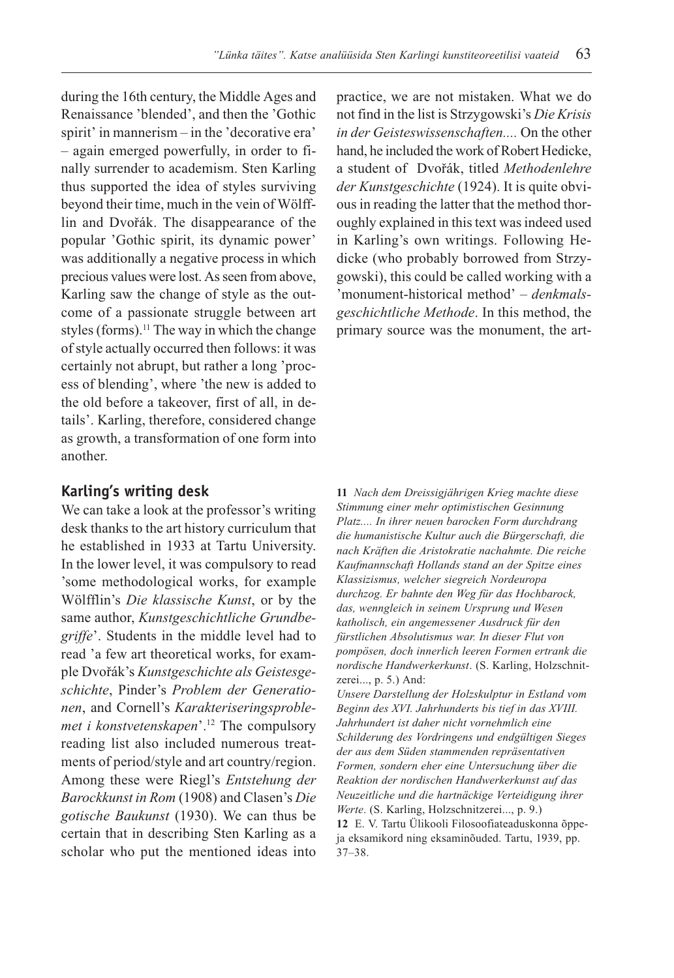during the 16th century, the Middle Ages and Renaissance 'blended', and then the 'Gothic spirit' in mannerism  $-$  in the 'decorative era' - again emerged powerfully, in order to finally surrender to academism. Sten Karling thus supported the idea of styles surviving beyond their time, much in the vein of Wölfflin and Dvořák. The disappearance of the popular 'Gothic spirit, its dynamic power' was additionally a negative process in which precious values were lost. As seen from above, Karling saw the change of style as the outcome of a passionate struggle between art styles (forms).<sup>11</sup> The way in which the change of style actually occurred then follows: it was certainly not abrupt, but rather a long 'process of blending', where 'the new is added to the old before a takeover, first of all, in details'. Karling, therefore, considered change as growth, a transformation of one form into another.

### **Karling's writing desk**

We can take a look at the professor's writing desk thanks to the art history curriculum that he established in 1933 at Tartu University. In the lower level, it was compulsory to read some methodological works, for example Wölfflin's Die klassische Kunst, or by the same author, Kunstgeschichtliche Grundbegriffe'. Students in the middle level had to read 'a few art theoretical works, for example Dvořák's Kunstgeschichte als Geistesgeschichte, Pinder's Problem der Generationen, and Cornell's Karakteriseringsproblemet i konstvetenskapen'. $12$  The compulsory reading list also included numerous treatments of period/style and art country/region. Among these were Riegl's Entstehung der Barockkunst in Rom (1908) and Clasen's Die gotische Baukunst (1930). We can thus be certain that in describing Sten Karling as a scholar who put the mentioned ideas into

practice, we are not mistaken. What we do not find in the list is Strzygowski's Die Krisis in der Geisteswissenschaften.... On the other hand, he included the work of Robert Hedicke, a student of Dvořák, titled Methodenlehre der Kunstgeschichte (1924). It is quite obvious in reading the latter that the method thoroughly explained in this text was indeed used in Karling's own writings. Following Hedicke (who probably borrowed from Strzygowski), this could be called working with a 'monument-historical method'  $-\text{denkmals}$ geschichtliche Methode. In this method, the primary source was the monument, the art-

11 Nach dem Dreissigjährigen Krieg machte diese Stimmung einer mehr optimistischen Gesinnung Platz.... In ihrer neuen barocken Form durchdrang die humanistische Kultur auch die Bürgerschaft, die nach Kräften die Aristokratie nachahmte. Die reiche Kaufmannschaft Hollands stand an der Spitze eines Klassizismus, welcher siegreich Nordeuropa durchzog. Er bahnte den Weg für das Hochbarock, das, wenngleich in seinem Ursprung und Wesen katholisch, ein angemessener Ausdruck für den fürstlichen Absolutismus war. In dieser Flut von pompösen, doch innerlich leeren Formen ertrank die nordische Handwerkerkunst. (S. Karling, Holzschnitzerei..., p. 5.) And:

Unsere Darstellung der Holzskulptur in Estland vom Beginn des XVI. Jahrhunderts bis tief in das XVIII. Jahrhundert ist daher nicht vornehmlich eine Schilderung des Vordringens und endgültigen Sieges der aus dem Süden stammenden repräsentativen Formen, sondern eher eine Untersuchung über die Reaktion der nordischen Handwerkerkunst auf das Neuzeitliche und die hartnäckige Verteidigung ihrer Werte. (S. Karling, Holzschnitzerei..., p. 9.) 12 E. V. Tartu Ülikooli Filosoofiateaduskonna õppeja eksamikord ning eksaminõuded. Tartu, 1939, pp.  $37 - 38.$